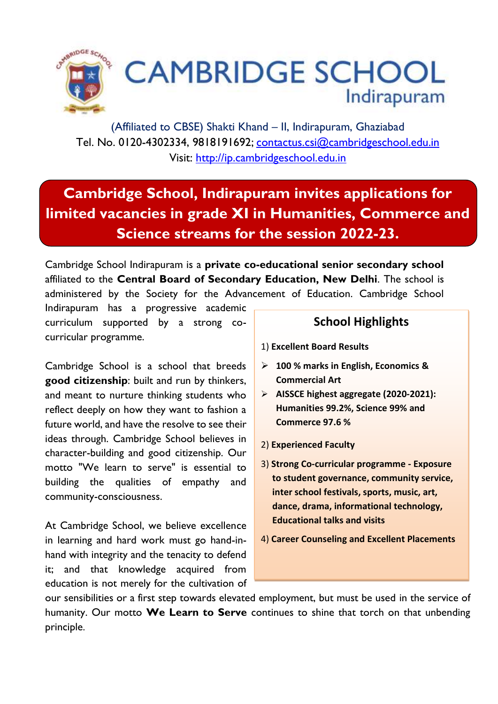

(Affiliated to CBSE) Shakti Khand – II, Indirapuram, Ghaziabad Tel. No. 0120-4302334, 9818191692; [contactus.csi@cambridgeschool.edu.in](mailto:contactus.csi@cambridgeschool.edu.in)  Visit: [http://ip.cambridgeschool.edu.in](http://ip.cambridgeschool.edu.in/)

# **Cambridge School, Indirapuram invites applications for limited vacancies in grade XI in Humanities, Commerce and Science streams for the session 2022-23.**

Cambridge School Indirapuram is a **private co-educational senior secondary school**  affiliated to the **Central Board of Secondary Education, New Delhi**. The school is administered by the Society for the Advancement of Education. Cambridge School

Indirapuram has a progressive academic curriculum supported by a strong cocurricular programme.

Cambridge School is a school that breeds **good citizenship**: built and run by thinkers, and meant to nurture thinking students who reflect deeply on how they want to fashion a future world, and have the resolve to see their ideas through. Cambridge School believes in character-building and good citizenship. Our motto "We learn to serve" is essential to building the qualities of empathy and community-consciousness.

At Cambridge School, we believe excellence in learning and hard work must go hand-inhand with integrity and the tenacity to defend it; and that knowledge acquired from education is not merely for the cultivation of

### **School Highlights**

- 1) **Excellent Board Results**
- ➢ **100 % marks in English, Economics & Commercial Art**
- ➢ **AISSCE highest aggregate (2020-2021): Humanities 99.2%, Science 99% and Commerce 97.6 %**
- 2) **Experienced Faculty**
- 3) **Strong Co-curricular programme - Exposure to student governance, community service, inter school festivals, sports, music, art, dance, drama, informational technology, Educational talks and visits**
- 4) **Career Counseling and Excellent Placements**

our sensibilities or a first step towards elevated employment, but must be used in the service of humanity. Our motto **We Learn to Serve** continues to shine that torch on that unbending principle.